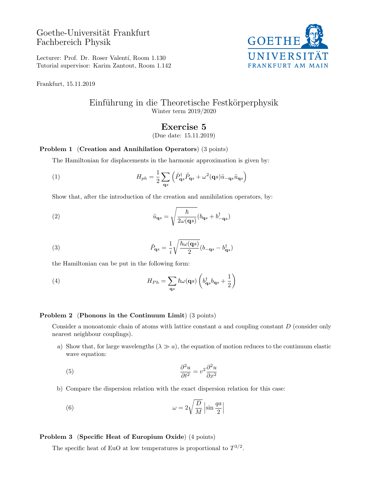Goethe-Universität Frankfurt Fachbereich Physik



Lecturer: Prof. Dr. Roser Valentí, Room 1.130 Tutorial supervisor: Karim Zantout, Room 1.142

Frankfurt, 15.11.2019

# Einführung in die Theoretische Festkörperphysik Winter term 2019/2020

## Exercise 5

(Due date: 15.11.2019)

#### Problem 1 (Creation and Annihilation Operators) (3 points)

The Hamiltonian for displacements in the harmonic approximation is given by:

(1) 
$$
H_{ph} = \frac{1}{2} \sum_{\mathbf{q}s} \left( \tilde{P}_{\mathbf{q}s}^{\dagger} \tilde{P}_{\mathbf{q}s} + \omega^2 (\mathbf{q}s) \tilde{u}_{-\mathbf{q}s} \tilde{u}_{\mathbf{q}s} \right)
$$

Show that, after the introduction of the creation and annihilation operators, by:

(2) 
$$
\tilde{u}_{\mathbf{q}s} = \sqrt{\frac{\hbar}{2\omega(\mathbf{q}s)}} (b_{\mathbf{q}s} + b_{-\mathbf{q}s}^{\dagger})
$$

(3) 
$$
\tilde{P}_{\mathbf{q}s} = \frac{1}{i} \sqrt{\frac{\hbar \omega(\mathbf{q}s)}{2}} (b_{-\mathbf{q}s} - b_{\mathbf{q}s}^{\dagger})
$$

the Hamiltonian can be put in the following form:

(4) 
$$
H_{Ph} = \sum_{\mathbf{q}s} \hbar \omega(\mathbf{q}s) \left( b_{\mathbf{q}s}^{\dagger} b_{\mathbf{q}s} + \frac{1}{2} \right)
$$

#### Problem 2 (Phonons in the Continuum Limit) (3 points)

Consider a monoatomic chain of atoms with lattice constant  $a$  and coupling constant  $D$  (consider only nearest neighbour couplings).

a) Show that, for large wavelengths  $(\lambda \gg a)$ , the equation of motion reduces to the continuum elastic wave equation:

> $\overline{\phantom{a}}$  $\overline{\phantom{a}}$  $\overline{\phantom{a}}$

(5) 
$$
\frac{\partial^2 u}{\partial t^2} = v^2 \frac{\partial^2 u}{\partial x^2}
$$

b) Compare the dispersion relation with the exact dispersion relation for this case:

(6) 
$$
\omega = 2\sqrt{\frac{D}{M}}\left|\sin\frac{qa}{2}\right|
$$

### Problem 3 (Specific Heat of Europium Oxide) (4 points)

The specific heat of EuO at low temperatures is proportional to  $T^{3/2}$ .